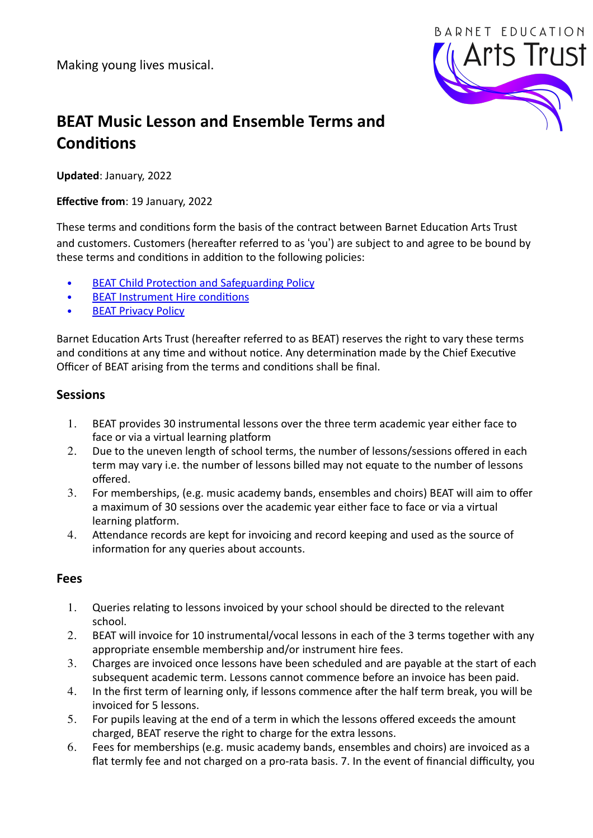Making young lives musical.



# **BEAT Music Lesson and Ensemble Terms and Conditions**

**Updated:** January, 2022

**Effective from: 19 January, 2022** 

These terms and conditions form the basis of the contract between Barnet Education Arts Trust and customers. Customers (hereafter referred to as 'you') are subject to and agree to be bound by these terms and conditions in addition to the following policies:

- **BEAT Child Protection and Safeguarding Policy**
- BEAT Instrument Hire conditions
- **BEAT Privacy Policy**

Barnet Education Arts Trust (hereafter referred to as BEAT) reserves the right to vary these terms and conditions at any time and without notice. Any determination made by the Chief Executive Officer of BEAT arising from the terms and conditions shall be final.

#### **Sessions**

- 1. BEAT provides 30 instrumental lessons over the three term academic year either face to face or via a virtual learning platform
- 2. Due to the uneven length of school terms, the number of lessons/sessions offered in each term may vary i.e. the number of lessons billed may not equate to the number of lessons offered.
- 3. For memberships, (e.g. music academy bands, ensembles and choirs) BEAT will aim to offer a maximum of 30 sessions over the academic year either face to face or via a virtual learning platform.
- 4. Attendance records are kept for invoicing and record keeping and used as the source of information for any queries about accounts.

#### **Fees**

- 1. Queries relating to lessons invoiced by your school should be directed to the relevant school.
- 2. BEAT will invoice for 10 instrumental/vocal lessons in each of the 3 terms together with any appropriate ensemble membership and/or instrument hire fees.
- 3. Charges are invoiced once lessons have been scheduled and are payable at the start of each subsequent academic term. Lessons cannot commence before an invoice has been paid.
- 4. In the first term of learning only, if lessons commence after the half term break, you will be invoiced for 5 lessons.
- 5. For pupils leaving at the end of a term in which the lessons offered exceeds the amount charged, BEAT reserve the right to charge for the extra lessons.
- 6. Fees for memberships (e.g. music academy bands, ensembles and choirs) are invoiced as a flat termly fee and not charged on a pro-rata basis. 7. In the event of financial difficulty, you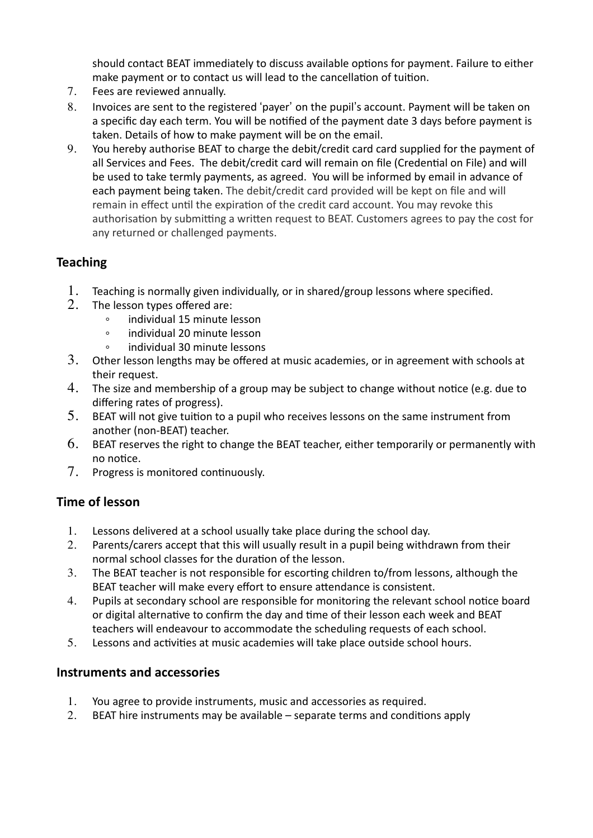should contact BEAT immediately to discuss available options for payment. Failure to either make payment or to contact us will lead to the cancellation of tuition.

- 7. Fees are reviewed annually.
- 8. Invoices are sent to the registered 'payer' on the pupil's account. Payment will be taken on a specific day each term. You will be notified of the payment date 3 days before payment is taken. Details of how to make payment will be on the email.
- 9. You hereby authorise BEAT to charge the debit/credit card card supplied for the payment of all Services and Fees. The debit/credit card will remain on file (Credential on File) and will be used to take termly payments, as agreed. You will be informed by email in advance of each payment being taken. The debit/credit card provided will be kept on file and will remain in effect until the expiration of the credit card account. You may revoke this authorisation by submitting a written request to BEAT. Customers agrees to pay the cost for any returned or challenged payments.

#### **Teaching**

- 1. Teaching is normally given individually, or in shared/group lessons where specified.
- 2. The lesson types offered are:
	- $\degree$  individual 15 minute lesson<br> $\degree$  individual 20 minute lesson
	- individual 20 minute lesson
	- $\circ$  individual 30 minute lessons
- $3.$  Other lesson lengths may be offered at music academies, or in agreement with schools at their request.
- 4. The size and membership of a group may be subject to change without notice (e.g. due to differing rates of progress).
- 5. BEAT will not give tuition to a pupil who receives lessons on the same instrument from another (non-BEAT) teacher.
- $6.$  BEAT reserves the right to change the BEAT teacher, either temporarily or permanently with no notice.
- 7. Progress is monitored continuously.

## **Time of lesson**

- 1. Lessons delivered at a school usually take place during the school day.
- 2. Parents/carers accept that this will usually result in a pupil being withdrawn from their normal school classes for the duration of the lesson.
- 3. The BEAT teacher is not responsible for escorting children to/from lessons, although the BEAT teacher will make every effort to ensure attendance is consistent.
- 4. Pupils at secondary school are responsible for monitoring the relevant school notice board or digital alternative to confirm the day and time of their lesson each week and BEAT teachers will endeavour to accommodate the scheduling requests of each school.
- 5. Lessons and activities at music academies will take place outside school hours.

#### **Instruments and accessories**

- 1. You agree to provide instruments, music and accessories as required.
- 2. BEAT hire instruments may be available  $-$  separate terms and conditions apply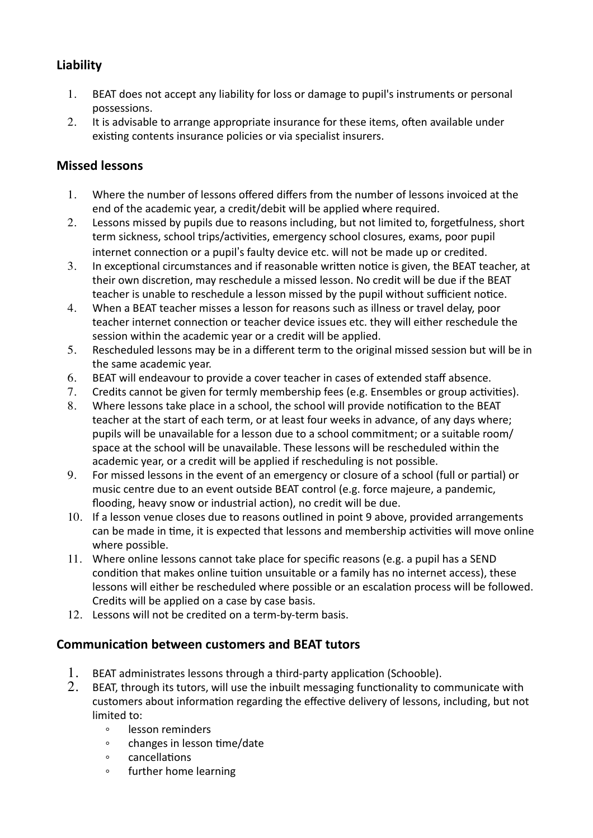# **Liability**

- 1. BEAT does not accept any liability for loss or damage to pupil's instruments or personal possessions.
- 2. It is advisable to arrange appropriate insurance for these items, often available under existing contents insurance policies or via specialist insurers.

## **Missed lessons**

- 1. Where the number of lessons offered differs from the number of lessons invoiced at the end of the academic year, a credit/debit will be applied where required.
- 2. Lessons missed by pupils due to reasons including, but not limited to, forgetfulness, short term sickness, school trips/activities, emergency school closures, exams, poor pupil internet connection or a pupil's faulty device etc. will not be made up or credited.
- 3. In exceptional circumstances and if reasonable written notice is given, the BEAT teacher, at their own discretion, may reschedule a missed lesson. No credit will be due if the BEAT teacher is unable to reschedule a lesson missed by the pupil without sufficient notice.
- 4. When a BEAT teacher misses a lesson for reasons such as illness or travel delay, poor teacher internet connection or teacher device issues etc. they will either reschedule the session within the academic year or a credit will be applied.
- 5. Rescheduled lessons may be in a different term to the original missed session but will be in the same academic year.
- 6. BEAT will endeavour to provide a cover teacher in cases of extended staff absence.
- 7. Credits cannot be given for termly membership fees (e.g. Ensembles or group activities).
- 8. Where lessons take place in a school, the school will provide notification to the BEAT teacher at the start of each term, or at least four weeks in advance, of any days where; pupils will be unavailable for a lesson due to a school commitment; or a suitable room/ space at the school will be unavailable. These lessons will be rescheduled within the academic year, or a credit will be applied if rescheduling is not possible.
- 9. For missed lessons in the event of an emergency or closure of a school (full or partial) or music centre due to an event outside BEAT control (e.g. force majeure, a pandemic, flooding, heavy snow or industrial action), no credit will be due.
- 10. If a lesson venue closes due to reasons outlined in point 9 above, provided arrangements can be made in time, it is expected that lessons and membership activities will move online where possible.
- 11. Where online lessons cannot take place for specific reasons (e.g. a pupil has a SEND condition that makes online tuition unsuitable or a family has no internet access), these lessons will either be rescheduled where possible or an escalation process will be followed. Credits will be applied on a case by case basis.
- 12. Lessons will not be credited on a term-by-term basis.

## **Communication between customers and BEAT tutors**

- 1. BEAT administrates lessons through a third-party application (Schooble).<br>2. BEAT through its tutors, will use the inbuilt messaging functionality to co
- BEAT, through its tutors, will use the inbuilt messaging functionality to communicate with customers about information regarding the effective delivery of lessons, including, but not limited to:
	- $\circ$  lesson reminders
	- $\circ$  changes in lesson time/date
	- $\circ$  cancellations
	- $\circ$  further home learning